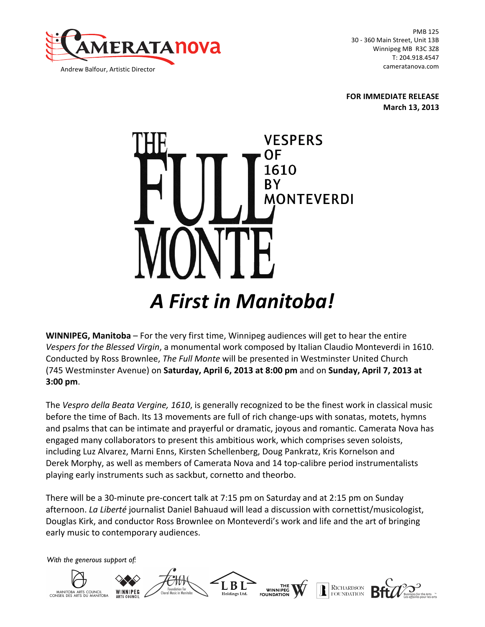

PMB 125 30 - 360 Main Street, Unit 13B Winnipeg MB R3C 3Z8 T: 204.918.4547 cameratanova.com

**FOR IMMEDIATE RELEASE March 13, 2013**



**WINNIPEG, Manitoba** – For the very first time, Winnipeg audiences will get to hear the entire *Vespers* for the Blessed Virgin, a monumental work composed by Italian Claudio Monteverdi in 1610. Conducted by Ross Brownlee, *The Full Monte* will be presented in Westminster United Church (745 Westminster Avenue) on **Saturday, April 6, 2013 at 8:00 pm** and on **Sunday, April 7, 2013 at 3:00 pm**.

The Vespro della Beata Vergine, 1610, is generally recognized to be the finest work in classical music before the time of Bach. Its 13 movements are full of rich change-ups with sonatas, motets, hymns and psalms that can be intimate and prayerful or dramatic, joyous and romantic. Camerata Nova has engaged many collaborators to present this ambitious work, which comprises seven soloists, including Luz Alvarez, Marni Enns, Kirsten Schellenberg, Doug Pankratz, Kris Kornelson and Derek Morphy, as well as members of Camerata Nova and 14 top-calibre period instrumentalists playing early instruments such as sackbut, cornetto and theorbo.

There will be a 30-minute pre-concert talk at 7:15 pm on Saturday and at 2:15 pm on Sunday afternoon. La Liberté journalist Daniel Bahuaud will lead a discussion with cornettist/musicologist, Douglas Kirk, and conductor Ross Brownlee on Monteverdi's work and life and the art of bringing early music to contemporary audiences.

*With the generous support of:*